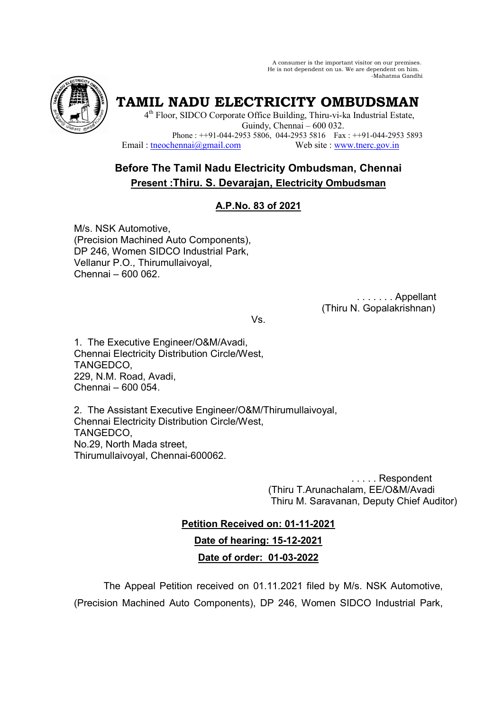A consumer is the important visitor on our premises. He is not dependent on us. We are dependent on him. -Mahatma Gandhi



**TAMIL NADU ELECTRICITY OMBUDSMAN** 

4<sup>th</sup> Floor, SIDCO Corporate Office Building, Thiru-vi-ka Industrial Estate, Guindy, Chennai – 600 032. Phone : ++91-044-2953 5806, 044-2953 5816 Fax : ++91-044-2953 5893 Email: tneochennai@gmail.com Web site : www.tnerc.gov.in

# **Before The Tamil Nadu Electricity Ombudsman, Chennai Present :Thiru. S. Devarajan, Electricity Ombudsman**

# **A.P.No. 83 of 2021**

M/s. NSK Automotive, (Precision Machined Auto Components), DP 246, Women SIDCO Industrial Park, Vellanur P.O., Thirumullaivoyal, Chennai – 600 062.

> . . . . . . . Appellant (Thiru N. Gopalakrishnan)

Vs.

1. The Executive Engineer/O&M/Avadi, Chennai Electricity Distribution Circle/West, TANGEDCO, 229, N.M. Road, Avadi, Chennai – 600 054.

2. The Assistant Executive Engineer/O&M/Thirumullaivoyal, Chennai Electricity Distribution Circle/West, TANGEDCO, No.29, North Mada street, Thirumullaivoyal, Chennai-600062.

> . . . . . Respondent (Thiru T.Arunachalam, EE/O&M/Avadi Thiru M. Saravanan, Deputy Chief Auditor)

**Petition Received on: 01-11-2021 Date of hearing: 15-12-2021 Date of order: 01-03-2022**

 The Appeal Petition received on 01.11.2021 filed by M/s. NSK Automotive, (Precision Machined Auto Components), DP 246, Women SIDCO Industrial Park,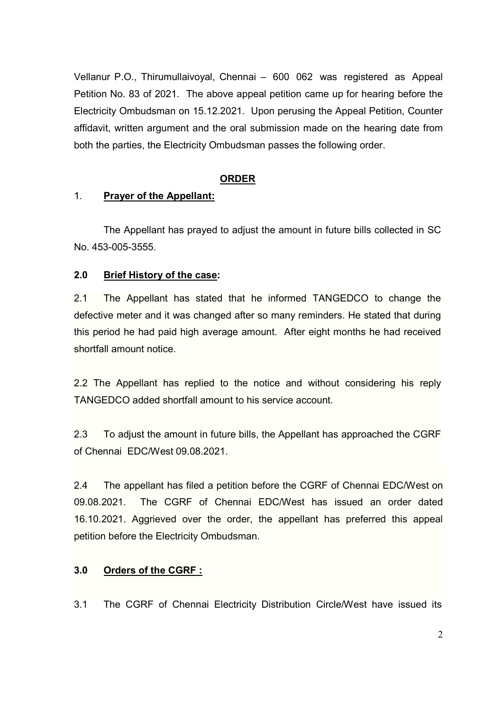Vellanur P.O., Thirumullaivoyal, Chennai – 600 062 was registered as Appeal Petition No. 83 of 2021. The above appeal petition came up for hearing before the Electricity Ombudsman on 15.12.2021. Upon perusing the Appeal Petition, Counter affidavit, written argument and the oral submission made on the hearing date from both the parties, the Electricity Ombudsman passes the following order.

### **ORDER**

### 1. **Prayer of the Appellant:**

 The Appellant has prayed to adjust the amount in future bills collected in SC No. 453-005-3555.

# **2.0 Brief History of the case:**

2.1 The Appellant has stated that he informed TANGEDCO to change the defective meter and it was changed after so many reminders. He stated that during this period he had paid high average amount. After eight months he had received shortfall amount notice.

2.2 The Appellant has replied to the notice and without considering his reply TANGEDCO added shortfall amount to his service account.

2.3 To adjust the amount in future bills, the Appellant has approached the CGRF of Chennai EDC/West 09.08.2021.

2.4 The appellant has filed a petition before the CGRF of Chennai EDC/West on 09.08.2021. The CGRF of Chennai EDC/West has issued an order dated 16.10.2021. Aggrieved over the order, the appellant has preferred this appeal petition before the Electricity Ombudsman.

# **3.0 Orders of the CGRF :**

3.1 The CGRF of Chennai Electricity Distribution Circle/West have issued its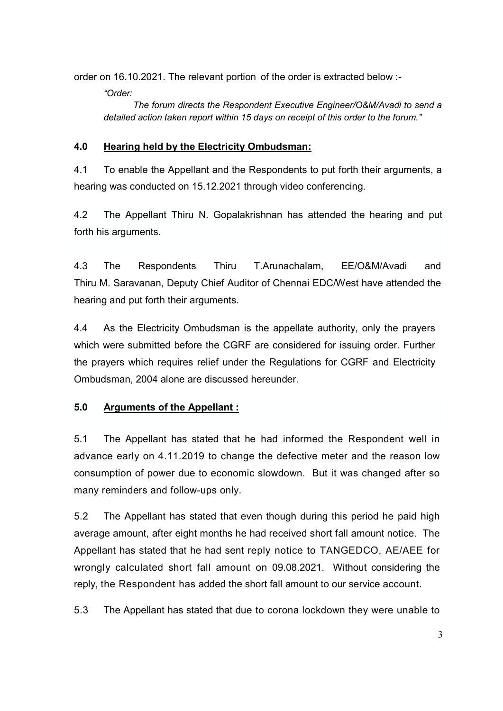order on 16.10.2021. The relevant portion of the order is extracted below :-

*"Order:* 

 *The forum directs the Respondent Executive Engineer/O&M/Avadi to send a detailed action taken report within 15 days on receipt of this order to the forum."* 

# **4.0 Hearing held by the Electricity Ombudsman:**

4.1 To enable the Appellant and the Respondents to put forth their arguments, a hearing was conducted on 15.12.2021 through video conferencing.

4.2 The Appellant Thiru N. Gopalakrishnan has attended the hearing and put forth his arguments.

4.3 The Respondents Thiru T.Arunachalam, EE/O&M/Avadi and Thiru M. Saravanan, Deputy Chief Auditor of Chennai EDC/West have attended the hearing and put forth their arguments.

4.4 As the Electricity Ombudsman is the appellate authority, only the prayers which were submitted before the CGRF are considered for issuing order. Further the prayers which requires relief under the Regulations for CGRF and Electricity Ombudsman, 2004 alone are discussed hereunder.

# **5.0 Arguments of the Appellant :**

5.1 The Appellant has stated that he had informed the Respondent well in advance early on 4.11.2019 to change the defective meter and the reason low consumption of power due to economic slowdown. But it was changed after so many reminders and follow-ups only.

5.2 The Appellant has stated that even though during this period he paid high average amount, after eight months he had received short fall amount notice. The Appellant has stated that he had sent reply notice to TANGEDCO, AE/AEE for wrongly calculated short fall amount on 09.08.2021. Without considering the reply, the Respondent has added the short fall amount to our service account.

5.3 The Appellant has stated that due to corona lockdown they were unable to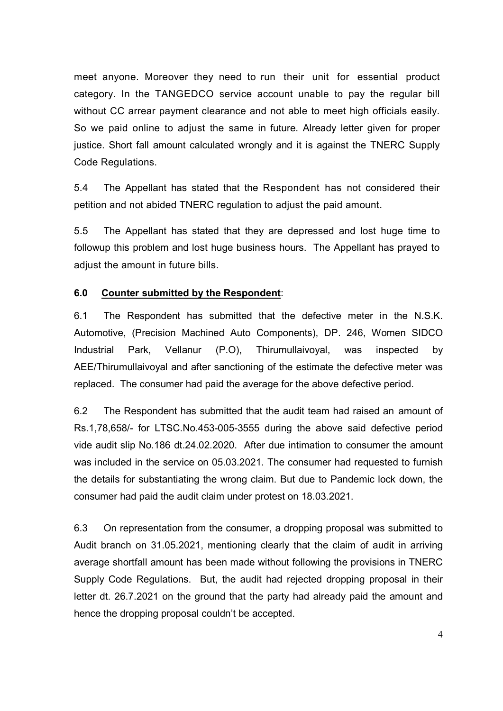meet anyone. Moreover they need to run their unit for essential product category. In the TANGEDCO service account unable to pay the regular bill without CC arrear payment clearance and not able to meet high officials easily. So we paid online to adjust the same in future. Already letter given for proper justice. Short fall amount calculated wrongly and it is against the TNERC Supply Code Regulations.

5.4 The Appellant has stated that the Respondent has not considered their petition and not abided TNERC regulation to adjust the paid amount.

5.5 The Appellant has stated that they are depressed and lost huge time to followup this problem and lost huge business hours. The Appellant has prayed to adjust the amount in future bills.

#### **6.0 Counter submitted by the Respondent**:

6.1 The Respondent has submitted that the defective meter in the N.S.K. Automotive, (Precision Machined Auto Components), DP. 246, Women SIDCO Industrial Park, Vellanur (P.O), Thirumullaivoyal, was inspected by AEE/Thirumullaivoyal and after sanctioning of the estimate the defective meter was replaced. The consumer had paid the average for the above defective period.

6.2 The Respondent has submitted that the audit team had raised an amount of Rs.1,78,658/- for LTSC.No.453-005-3555 during the above said defective period vide audit slip No.186 dt.24.02.2020. After due intimation to consumer the amount was included in the service on 05.03.2021. The consumer had requested to furnish the details for substantiating the wrong claim. But due to Pandemic lock down, the consumer had paid the audit claim under protest on 18.03.2021.

6.3 On representation from the consumer, a dropping proposal was submitted to Audit branch on 31.05.2021, mentioning clearly that the claim of audit in arriving average shortfall amount has been made without following the provisions in TNERC Supply Code Regulations. But, the audit had rejected dropping proposal in their letter dt. 26.7.2021 on the ground that the party had already paid the amount and hence the dropping proposal couldn't be accepted.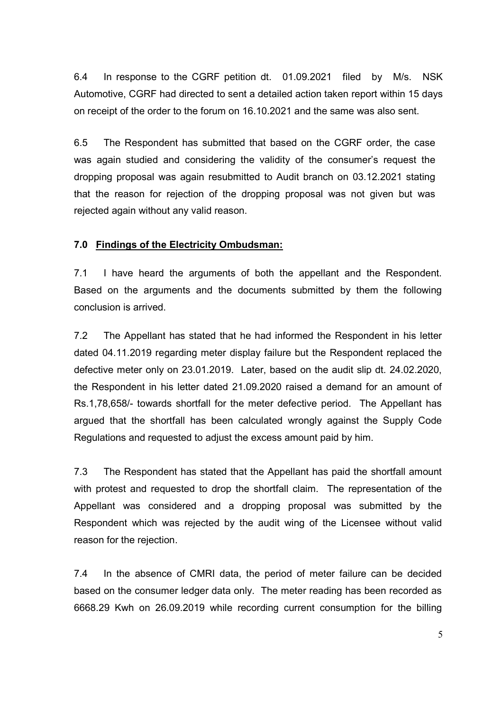6.4 In response to the CGRF petition dt. 01.09.2021 filed by M/s. NSK Automotive, CGRF had directed to sent a detailed action taken report within 15 days on receipt of the order to the forum on 16.10.2021 and the same was also sent.

6.5 The Respondent has submitted that based on the CGRF order, the case was again studied and considering the validity of the consumer's request the dropping proposal was again resubmitted to Audit branch on 03.12.2021 stating that the reason for rejection of the dropping proposal was not given but was rejected again without any valid reason.

#### **7.0 Findings of the Electricity Ombudsman:**

7.1 I have heard the arguments of both the appellant and the Respondent. Based on the arguments and the documents submitted by them the following conclusion is arrived.

7.2 The Appellant has stated that he had informed the Respondent in his letter dated 04.11.2019 regarding meter display failure but the Respondent replaced the defective meter only on 23.01.2019. Later, based on the audit slip dt. 24.02.2020, the Respondent in his letter dated 21.09.2020 raised a demand for an amount of Rs.1,78,658/- towards shortfall for the meter defective period. The Appellant has argued that the shortfall has been calculated wrongly against the Supply Code Regulations and requested to adjust the excess amount paid by him.

7.3 The Respondent has stated that the Appellant has paid the shortfall amount with protest and requested to drop the shortfall claim. The representation of the Appellant was considered and a dropping proposal was submitted by the Respondent which was rejected by the audit wing of the Licensee without valid reason for the rejection.

7.4 In the absence of CMRI data, the period of meter failure can be decided based on the consumer ledger data only. The meter reading has been recorded as 6668.29 Kwh on 26.09.2019 while recording current consumption for the billing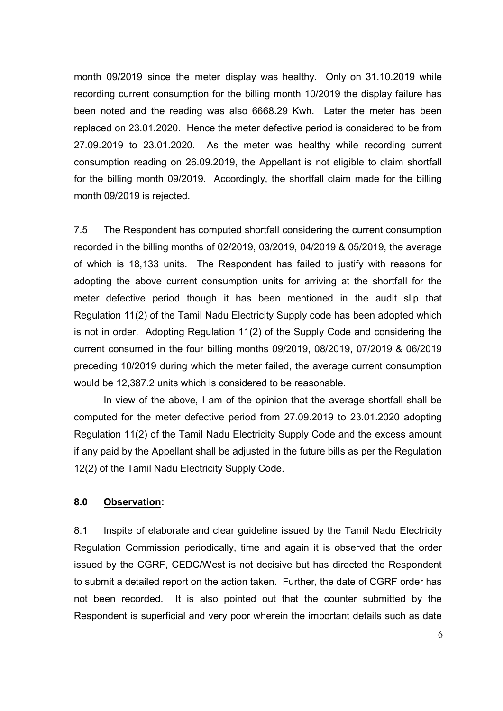month 09/2019 since the meter display was healthy. Only on 31.10.2019 while recording current consumption for the billing month 10/2019 the display failure has been noted and the reading was also 6668.29 Kwh. Later the meter has been replaced on 23.01.2020. Hence the meter defective period is considered to be from 27.09.2019 to 23.01.2020. As the meter was healthy while recording current consumption reading on 26.09.2019, the Appellant is not eligible to claim shortfall for the billing month 09/2019. Accordingly, the shortfall claim made for the billing month 09/2019 is rejected.

7.5 The Respondent has computed shortfall considering the current consumption recorded in the billing months of 02/2019, 03/2019, 04/2019 & 05/2019, the average of which is 18,133 units. The Respondent has failed to justify with reasons for adopting the above current consumption units for arriving at the shortfall for the meter defective period though it has been mentioned in the audit slip that Regulation 11(2) of the Tamil Nadu Electricity Supply code has been adopted which is not in order. Adopting Regulation 11(2) of the Supply Code and considering the current consumed in the four billing months 09/2019, 08/2019, 07/2019 & 06/2019 preceding 10/2019 during which the meter failed, the average current consumption would be 12,387.2 units which is considered to be reasonable.

 In view of the above, I am of the opinion that the average shortfall shall be computed for the meter defective period from 27.09.2019 to 23.01.2020 adopting Regulation 11(2) of the Tamil Nadu Electricity Supply Code and the excess amount if any paid by the Appellant shall be adjusted in the future bills as per the Regulation 12(2) of the Tamil Nadu Electricity Supply Code.

#### **8.0 Observation:**

8.1 Inspite of elaborate and clear guideline issued by the Tamil Nadu Electricity Regulation Commission periodically, time and again it is observed that the order issued by the CGRF, CEDC/West is not decisive but has directed the Respondent to submit a detailed report on the action taken. Further, the date of CGRF order has not been recorded. It is also pointed out that the counter submitted by the Respondent is superficial and very poor wherein the important details such as date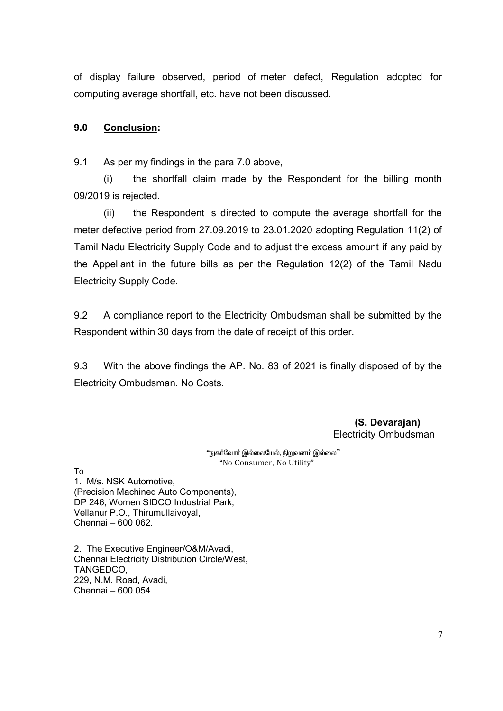of display failure observed, period of meter defect, Regulation adopted for computing average shortfall, etc. have not been discussed.

### **9.0 Conclusion:**

9.1 As per my findings in the para 7.0 above,

(i) the shortfall claim made by the Respondent for the billing month 09/2019 is rejected.

(ii) the Respondent is directed to compute the average shortfall for the meter defective period from 27.09.2019 to 23.01.2020 adopting Regulation 11(2) of Tamil Nadu Electricity Supply Code and to adjust the excess amount if any paid by the Appellant in the future bills as per the Regulation 12(2) of the Tamil Nadu Electricity Supply Code.

9.2 A compliance report to the Electricity Ombudsman shall be submitted by the Respondent within 30 days from the date of receipt of this order.

9.3 With the above findings the AP. No. 83 of 2021 is finally disposed of by the Electricity Ombudsman. No Costs.

> **(S. Devarajan)**  Electricity Ombudsman

"நுகா்வோா் இல்லையேல், <u>நிறு</u>வனம் இல்லை" "No Consumer, No Utility"

To

1. M/s. NSK Automotive, (Precision Machined Auto Components), DP 246, Women SIDCO Industrial Park, Vellanur P.O., Thirumullaivoyal, Chennai – 600 062.

2. The Executive Engineer/O&M/Avadi, Chennai Electricity Distribution Circle/West, TANGEDCO, 229, N.M. Road, Avadi, Chennai – 600 054.